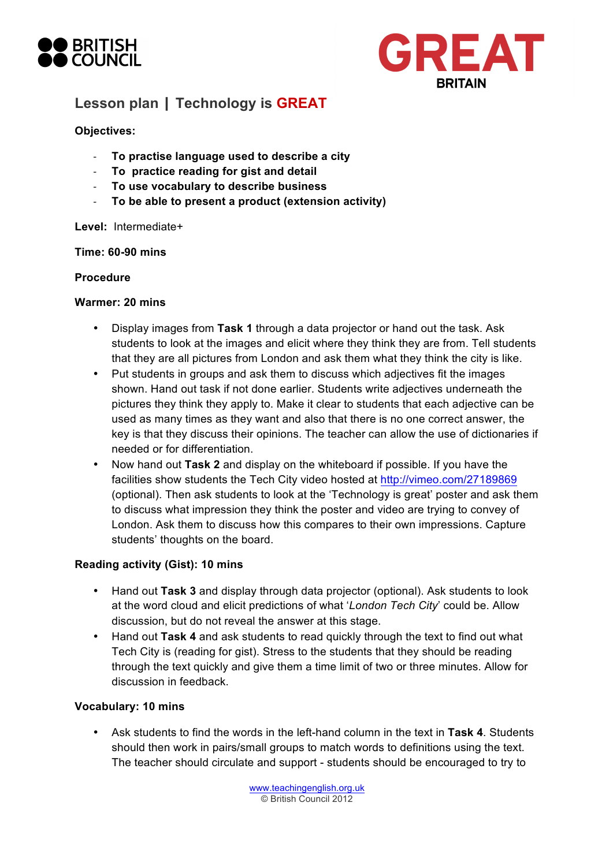



# **Lesson plan | Technology is GREAT**

## **Objectives:**

- **To practise language used to describe a city**
- **To practice reading for gist and detail**
- **To use vocabulary to describe business**
- **To be able to present a product (extension activity)**

### **Level:** Intermediate+

### **Time: 60-90 mins**

### **Procedure**

### **Warmer: 20 mins**

- Display images from **Task 1** through a data projector or hand out the task. Ask students to look at the images and elicit where they think they are from. Tell students that they are all pictures from London and ask them what they think the city is like.
- Put students in groups and ask them to discuss which adjectives fit the images shown. Hand out task if not done earlier. Students write adjectives underneath the pictures they think they apply to. Make it clear to students that each adjective can be used as many times as they want and also that there is no one correct answer, the key is that they discuss their opinions. The teacher can allow the use of dictionaries if needed or for differentiation.
- Now hand out **Task 2** and display on the whiteboard if possible. If you have the facilities show students the Tech City video hosted at http://vimeo.com/27189869 (optional). Then ask students to look at the 'Technology is great' poster and ask them to discuss what impression they think the poster and video are trying to convey of London. Ask them to discuss how this compares to their own impressions. Capture students' thoughts on the board.

## **Reading activity (Gist): 10 mins**

- Hand out **Task 3** and display through data projector (optional). Ask students to look at the word cloud and elicit predictions of what '*London Tech City*' could be. Allow discussion, but do not reveal the answer at this stage.
- Hand out **Task 4** and ask students to read quickly through the text to find out what Tech City is (reading for gist). Stress to the students that they should be reading through the text quickly and give them a time limit of two or three minutes. Allow for discussion in feedback.

### **Vocabulary: 10 mins**

• Ask students to find the words in the left-hand column in the text in **Task 4**. Students should then work in pairs/small groups to match words to definitions using the text. The teacher should circulate and support - students should be encouraged to try to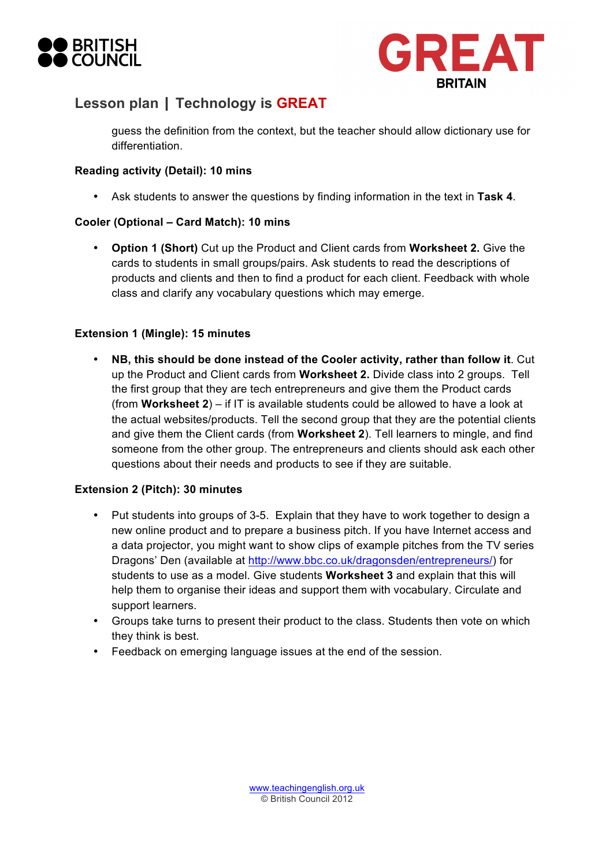



## **Lesson plan | Technology is GREAT**

guess the definition from the context, but the teacher should allow dictionary use for differentiation.

## **Reading activity (Detail): 10 mins**

• Ask students to answer the questions by finding information in the text in **Task 4**.

## **Cooler (Optional – Card Match): 10 mins**

• **Option 1 (Short)** Cut up the Product and Client cards from **Worksheet 2.** Give the cards to students in small groups/pairs. Ask students to read the descriptions of products and clients and then to find a product for each client. Feedback with whole class and clarify any vocabulary questions which may emerge.

## **Extension 1 (Mingle): 15 minutes**

• **NB, this should be done instead of the Cooler activity, rather than follow it**. Cut up the Product and Client cards from **Worksheet 2.** Divide class into 2 groups. Tell the first group that they are tech entrepreneurs and give them the Product cards (from **Worksheet 2**) – if IT is available students could be allowed to have a look at the actual websites/products. Tell the second group that they are the potential clients and give them the Client cards (from **Worksheet 2**). Tell learners to mingle, and find someone from the other group. The entrepreneurs and clients should ask each other questions about their needs and products to see if they are suitable.

## **Extension 2 (Pitch): 30 minutes**

- Put students into groups of 3-5. Explain that they have to work together to design a new online product and to prepare a business pitch. If you have Internet access and a data projector, you might want to show clips of example pitches from the TV series Dragons' Den (available at http://www.bbc.co.uk/dragonsden/entrepreneurs/) for students to use as a model. Give students **Worksheet 3** and explain that this will help them to organise their ideas and support them with vocabulary. Circulate and support learners.
- Groups take turns to present their product to the class. Students then vote on which they think is best.
- Feedback on emerging language issues at the end of the session.